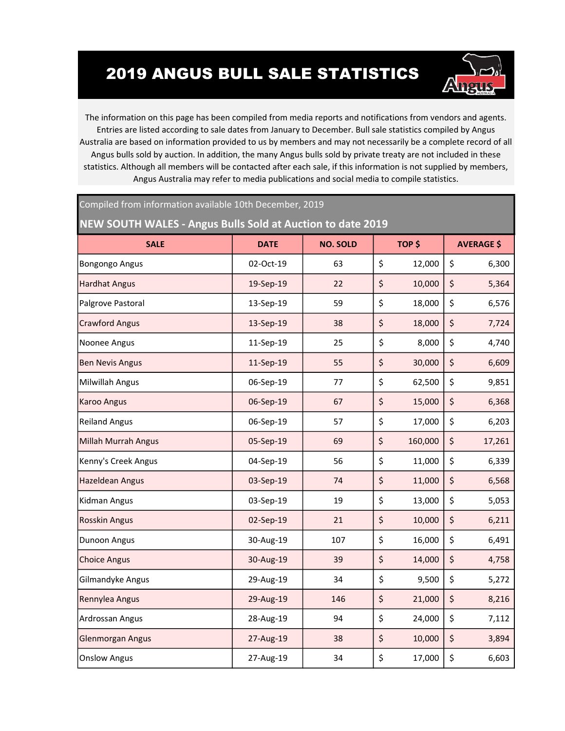## 2019 ANGUS BULL SALE STATISTICS

Compiled from information available 10th December, 2019



The information on this page has been compiled from media reports and notifications from vendors and agents. Entries are listed according to sale dates from January to December. Bull sale statistics compiled by Angus Australia are based on information provided to us by members and may not necessarily be a complete record of all Angus bulls sold by auction. In addition, the many Angus bulls sold by private treaty are not included in these statistics. Although all members will be contacted after each sale, if this information is not supplied by members, Angus Australia may refer to media publications and social media to compile statistics.

| NEW SOUTH WALES - Angus Bulls Sold at Auction to date 2019 |             |                 |    |         |    |                   |  |
|------------------------------------------------------------|-------------|-----------------|----|---------|----|-------------------|--|
| <b>SALE</b>                                                | <b>DATE</b> | <b>NO. SOLD</b> |    | TOP \$  |    | <b>AVERAGE \$</b> |  |
| <b>Bongongo Angus</b>                                      | 02-Oct-19   | 63              | \$ | 12,000  | \$ | 6,300             |  |
| <b>Hardhat Angus</b>                                       | 19-Sep-19   | 22              | \$ | 10,000  | \$ | 5,364             |  |
| Palgrove Pastoral                                          | 13-Sep-19   | 59              | \$ | 18,000  | \$ | 6,576             |  |
| <b>Crawford Angus</b>                                      | 13-Sep-19   | 38              | \$ | 18,000  | \$ | 7,724             |  |
| Noonee Angus                                               | 11-Sep-19   | 25              | \$ | 8,000   | \$ | 4,740             |  |
| <b>Ben Nevis Angus</b>                                     | 11-Sep-19   | 55              | \$ | 30,000  | \$ | 6,609             |  |
| Milwillah Angus                                            | 06-Sep-19   | 77              | \$ | 62,500  | \$ | 9,851             |  |
| <b>Karoo Angus</b>                                         | 06-Sep-19   | 67              | \$ | 15,000  | \$ | 6,368             |  |
| <b>Reiland Angus</b>                                       | 06-Sep-19   | 57              | \$ | 17,000  | \$ | 6,203             |  |
| <b>Millah Murrah Angus</b>                                 | 05-Sep-19   | 69              | \$ | 160,000 | \$ | 17,261            |  |
| Kenny's Creek Angus                                        | 04-Sep-19   | 56              | \$ | 11,000  | \$ | 6,339             |  |
| <b>Hazeldean Angus</b>                                     | 03-Sep-19   | 74              | \$ | 11,000  | \$ | 6,568             |  |
| Kidman Angus                                               | 03-Sep-19   | 19              | \$ | 13,000  | \$ | 5,053             |  |
| <b>Rosskin Angus</b>                                       | 02-Sep-19   | 21              | \$ | 10,000  | \$ | 6,211             |  |
| Dunoon Angus                                               | 30-Aug-19   | 107             | \$ | 16,000  | \$ | 6,491             |  |
| <b>Choice Angus</b>                                        | 30-Aug-19   | 39              | \$ | 14,000  | \$ | 4,758             |  |
| Gilmandyke Angus                                           | 29-Aug-19   | 34              | \$ | 9,500   | \$ | 5,272             |  |
| Rennylea Angus                                             | 29-Aug-19   | 146             | \$ | 21,000  | \$ | 8,216             |  |
| Ardrossan Angus                                            | 28-Aug-19   | 94              | \$ | 24,000  | \$ | 7,112             |  |
| <b>Glenmorgan Angus</b>                                    | 27-Aug-19   | 38              | \$ | 10,000  | \$ | 3,894             |  |
| <b>Onslow Angus</b>                                        | 27-Aug-19   | 34              | \$ | 17,000  | \$ | 6,603             |  |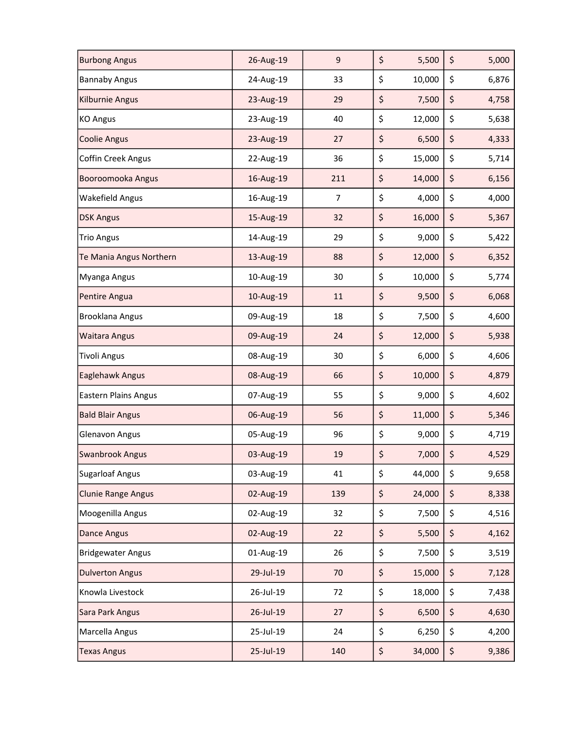| <b>Burbong Angus</b>        | 26-Aug-19 | $\mathsf 9$    | \$<br>5,500  | \$<br>5,000 |
|-----------------------------|-----------|----------------|--------------|-------------|
| <b>Bannaby Angus</b>        | 24-Aug-19 | 33             | \$<br>10,000 | \$<br>6,876 |
| <b>Kilburnie Angus</b>      | 23-Aug-19 | 29             | \$<br>7,500  | \$<br>4,758 |
| <b>KO Angus</b>             | 23-Aug-19 | 40             | \$<br>12,000 | \$<br>5,638 |
| <b>Coolie Angus</b>         | 23-Aug-19 | 27             | \$<br>6,500  | \$<br>4,333 |
| <b>Coffin Creek Angus</b>   | 22-Aug-19 | 36             | \$<br>15,000 | \$<br>5,714 |
| Booroomooka Angus           | 16-Aug-19 | 211            | \$<br>14,000 | \$<br>6,156 |
| <b>Wakefield Angus</b>      | 16-Aug-19 | $\overline{7}$ | \$<br>4,000  | \$<br>4,000 |
| <b>DSK Angus</b>            | 15-Aug-19 | 32             | \$<br>16,000 | \$<br>5,367 |
| <b>Trio Angus</b>           | 14-Aug-19 | 29             | \$<br>9,000  | \$<br>5,422 |
| Te Mania Angus Northern     | 13-Aug-19 | 88             | \$<br>12,000 | \$<br>6,352 |
| Myanga Angus                | 10-Aug-19 | 30             | \$<br>10,000 | \$<br>5,774 |
| Pentire Angua               | 10-Aug-19 | 11             | \$<br>9,500  | \$<br>6,068 |
| <b>Brooklana Angus</b>      | 09-Aug-19 | 18             | \$<br>7,500  | \$<br>4,600 |
| <b>Waitara Angus</b>        | 09-Aug-19 | 24             | \$<br>12,000 | \$<br>5,938 |
| <b>Tivoli Angus</b>         | 08-Aug-19 | 30             | \$<br>6,000  | \$<br>4,606 |
| Eaglehawk Angus             | 08-Aug-19 | 66             | \$<br>10,000 | \$<br>4,879 |
| <b>Eastern Plains Angus</b> | 07-Aug-19 | 55             | \$<br>9,000  | \$<br>4,602 |
| <b>Bald Blair Angus</b>     | 06-Aug-19 | 56             | \$<br>11,000 | \$<br>5,346 |
| Glenavon Angus              | 05-Aug-19 | 96             | \$<br>9,000  | \$<br>4,719 |
| <b>Swanbrook Angus</b>      | 03-Aug-19 | 19             | \$<br>7,000  | \$<br>4,529 |
| <b>Sugarloaf Angus</b>      | 03-Aug-19 | 41             | \$<br>44,000 | \$<br>9,658 |
| <b>Clunie Range Angus</b>   | 02-Aug-19 | 139            | \$<br>24,000 | \$<br>8,338 |
| Moogenilla Angus            | 02-Aug-19 | 32             | \$<br>7,500  | \$<br>4,516 |
| <b>Dance Angus</b>          | 02-Aug-19 | 22             | \$<br>5,500  | \$<br>4,162 |
| <b>Bridgewater Angus</b>    | 01-Aug-19 | 26             | \$<br>7,500  | \$<br>3,519 |
| <b>Dulverton Angus</b>      | 29-Jul-19 | 70             | \$<br>15,000 | \$<br>7,128 |
| Knowla Livestock            | 26-Jul-19 | 72             | \$<br>18,000 | \$<br>7,438 |
| Sara Park Angus             | 26-Jul-19 | 27             | \$<br>6,500  | \$<br>4,630 |
| Marcella Angus              | 25-Jul-19 | 24             | \$<br>6,250  | \$<br>4,200 |
| <b>Texas Angus</b>          | 25-Jul-19 | 140            | \$<br>34,000 | \$<br>9,386 |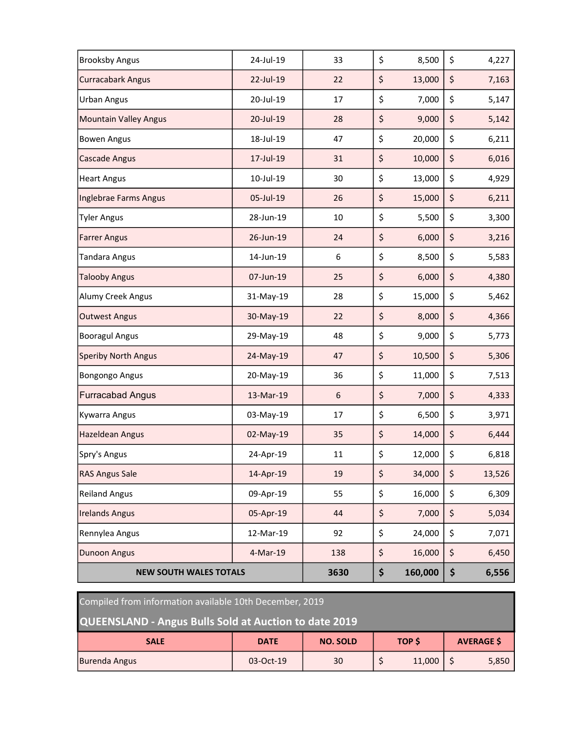| <b>Brooksby Angus</b>         | 24-Jul-19 | 33              | \$<br>8,500   | \$<br>4,227  |
|-------------------------------|-----------|-----------------|---------------|--------------|
| <b>Curracabark Angus</b>      | 22-Jul-19 | 22              | \$<br>13,000  | \$<br>7,163  |
| <b>Urban Angus</b>            | 20-Jul-19 | 17              | \$<br>7,000   | \$<br>5,147  |
| <b>Mountain Valley Angus</b>  | 20-Jul-19 | 28              | \$<br>9,000   | \$<br>5,142  |
| <b>Bowen Angus</b>            | 18-Jul-19 | 47              | \$<br>20,000  | \$<br>6,211  |
| <b>Cascade Angus</b>          | 17-Jul-19 | 31              | \$<br>10,000  | \$<br>6,016  |
| <b>Heart Angus</b>            | 10-Jul-19 | 30              | \$<br>13,000  | \$<br>4,929  |
| Inglebrae Farms Angus         | 05-Jul-19 | 26              | \$<br>15,000  | \$<br>6,211  |
| <b>Tyler Angus</b>            | 28-Jun-19 | 10              | \$<br>5,500   | \$<br>3,300  |
| <b>Farrer Angus</b>           | 26-Jun-19 | 24              | \$<br>6,000   | \$<br>3,216  |
| <b>Tandara Angus</b>          | 14-Jun-19 | 6               | \$<br>8,500   | \$<br>5,583  |
| <b>Talooby Angus</b>          | 07-Jun-19 | 25              | \$<br>6,000   | \$<br>4,380  |
| Alumy Creek Angus             | 31-May-19 | 28              | \$<br>15,000  | \$<br>5,462  |
| <b>Outwest Angus</b>          | 30-May-19 | 22              | \$<br>8,000   | \$<br>4,366  |
| <b>Booragul Angus</b>         | 29-May-19 | 48              | \$<br>9,000   | \$<br>5,773  |
| <b>Speriby North Angus</b>    | 24-May-19 | 47              | \$<br>10,500  | \$<br>5,306  |
| <b>Bongongo Angus</b>         | 20-May-19 | 36              | \$<br>11,000  | \$<br>7,513  |
| <b>Furracabad Angus</b>       | 13-Mar-19 | $6\phantom{1}6$ | \$<br>7,000   | \$<br>4,333  |
| <b>Kywarra Angus</b>          | 03-May-19 | 17              | \$<br>6,500   | \$<br>3,971  |
| <b>Hazeldean Angus</b>        | 02-May-19 | 35              | \$<br>14,000  | \$<br>6,444  |
| Spry's Angus                  | 24-Apr-19 | 11              | \$<br>12,000  | \$<br>6,818  |
| <b>RAS Angus Sale</b>         | 14-Apr-19 | 19              | \$<br>34,000  | \$<br>13,526 |
| <b>Reiland Angus</b>          | 09-Apr-19 | 55              | \$<br>16,000  | \$<br>6,309  |
| <b>Irelands Angus</b>         | 05-Apr-19 | 44              | \$<br>7,000   | \$<br>5,034  |
| Rennylea Angus                | 12-Mar-19 | 92              | \$<br>24,000  | \$<br>7,071  |
| <b>Dunoon Angus</b>           | 4-Mar-19  | 138             | \$<br>16,000  | \$<br>6,450  |
| <b>NEW SOUTH WALES TOTALS</b> |           | 3630            | \$<br>160,000 | \$<br>6,556  |

| Compiled from information available 10th December, 2019      |             |                 |              |        |  |                   |  |
|--------------------------------------------------------------|-------------|-----------------|--------------|--------|--|-------------------|--|
| <b>QUEENSLAND - Angus Bulls Sold at Auction to date 2019</b> |             |                 |              |        |  |                   |  |
| <b>SALE</b>                                                  | <b>DATE</b> | <b>NO. SOLD</b> | <b>TOP S</b> |        |  | <b>AVERAGE \$</b> |  |
| <b>Burenda Angus</b>                                         | 03-Oct-19   | 30              |              | 11,000 |  | 5,850             |  |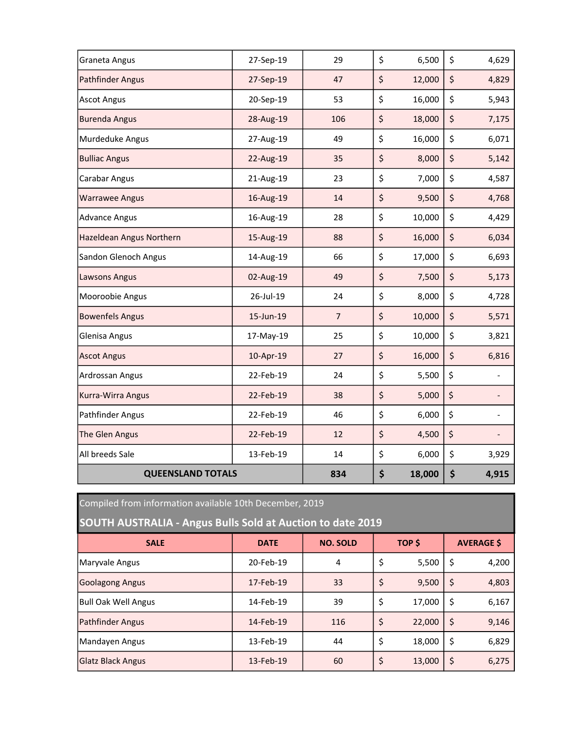| Graneta Angus            | 27-Sep-19 | 29             | \$<br>6,500  | \$<br>4,629                    |
|--------------------------|-----------|----------------|--------------|--------------------------------|
| <b>Pathfinder Angus</b>  | 27-Sep-19 | 47             | \$<br>12,000 | \$<br>4,829                    |
| <b>Ascot Angus</b>       | 20-Sep-19 | 53             | \$<br>16,000 | \$<br>5,943                    |
| <b>Burenda Angus</b>     | 28-Aug-19 | 106            | \$<br>18,000 | \$<br>7,175                    |
| Murdeduke Angus          | 27-Aug-19 | 49             | \$<br>16,000 | \$<br>6,071                    |
| <b>Bulliac Angus</b>     | 22-Aug-19 | 35             | \$<br>8,000  | \$<br>5,142                    |
| Carabar Angus            | 21-Aug-19 | 23             | \$<br>7,000  | \$<br>4,587                    |
| <b>Warrawee Angus</b>    | 16-Aug-19 | 14             | \$<br>9,500  | \$<br>4,768                    |
| <b>Advance Angus</b>     | 16-Aug-19 | 28             | \$<br>10,000 | \$<br>4,429                    |
| Hazeldean Angus Northern | 15-Aug-19 | 88             | \$<br>16,000 | \$<br>6,034                    |
| Sandon Glenoch Angus     | 14-Aug-19 | 66             | \$<br>17,000 | \$<br>6,693                    |
| Lawsons Angus            | 02-Aug-19 | 49             | \$<br>7,500  | \$<br>5,173                    |
| Mooroobie Angus          | 26-Jul-19 | 24             | \$<br>8,000  | \$<br>4,728                    |
| <b>Bowenfels Angus</b>   | 15-Jun-19 | $\overline{7}$ | \$<br>10,000 | \$<br>5,571                    |
| Glenisa Angus            | 17-May-19 | 25             | \$<br>10,000 | \$<br>3,821                    |
| <b>Ascot Angus</b>       | 10-Apr-19 | 27             | \$<br>16,000 | \$<br>6,816                    |
| Ardrossan Angus          | 22-Feb-19 | 24             | \$<br>5,500  | \$                             |
| Kurra-Wirra Angus        | 22-Feb-19 | 38             | \$<br>5,000  | \$<br>-                        |
| Pathfinder Angus         | 22-Feb-19 | 46             | \$<br>6,000  | \$                             |
| The Glen Angus           | 22-Feb-19 | 12             | \$<br>4,500  | \$<br>$\overline{\phantom{0}}$ |
| All breeds Sale          | 13-Feb-19 | 14             | \$<br>6,000  | \$<br>3,929                    |
| <b>QUEENSLAND TOTALS</b> |           | 834            | \$<br>18,000 | \$<br>4,915                    |

Compiled from information available 10th December, 2019

## SOUTH AUSTRALIA - Angus Bulls Sold at Auction to date 2019

| <b>SALE</b>              | <b>DATE</b> | <b>NO. SOLD</b> | TOP \$ |        | <b>AVERAGE \$</b> |       |  |
|--------------------------|-------------|-----------------|--------|--------|-------------------|-------|--|
| Maryvale Angus           | 20-Feb-19   | 4               | \$     | 5,500  | \$                | 4,200 |  |
| Goolagong Angus          | 17-Feb-19   | 33              | \$     | 9,500  | $\zeta$           | 4,803 |  |
| Bull Oak Well Angus      | 14-Feb-19   | 39              | \$     | 17,000 | \$                | 6,167 |  |
| Pathfinder Angus         | 14-Feb-19   | 116             | \$     | 22,000 | \$                | 9,146 |  |
| Mandayen Angus           | 13-Feb-19   | 44              | \$     | 18,000 | \$                | 6,829 |  |
| <b>Glatz Black Angus</b> | 13-Feb-19   | 60              | \$     | 13,000 | \$                | 6,275 |  |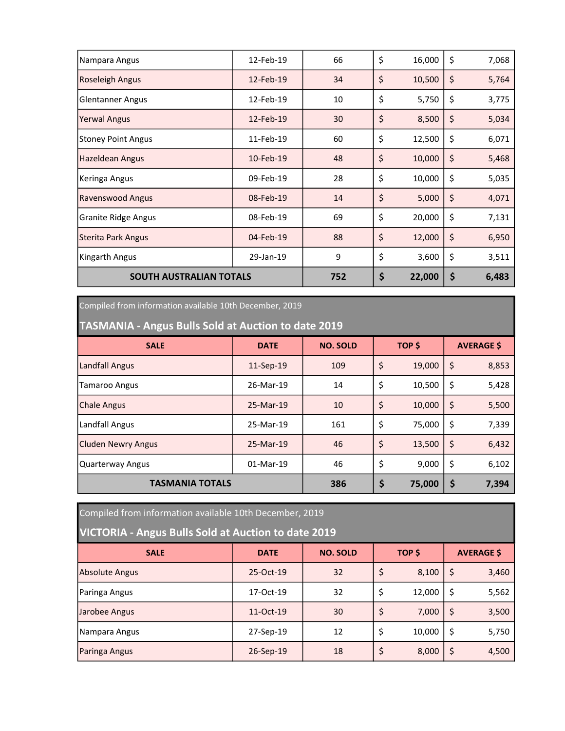| Nampara Angus                  | 12-Feb-19 | 66  | \$<br>16,000 | \$<br>7,068 |
|--------------------------------|-----------|-----|--------------|-------------|
| <b>Roseleigh Angus</b>         | 12-Feb-19 | 34  | \$<br>10,500 | \$<br>5,764 |
| <b>Glentanner Angus</b>        | 12-Feb-19 | 10  | \$<br>5,750  | \$<br>3,775 |
| <b>Yerwal Angus</b>            | 12-Feb-19 | 30  | \$<br>8,500  | \$<br>5,034 |
| <b>Stoney Point Angus</b>      | 11-Feb-19 | 60  | \$<br>12,500 | \$<br>6,071 |
| Hazeldean Angus                | 10-Feb-19 | 48  | \$<br>10,000 | \$<br>5,468 |
| Keringa Angus                  | 09-Feb-19 | 28  | \$<br>10,000 | \$<br>5,035 |
| Ravenswood Angus               | 08-Feb-19 | 14  | \$<br>5,000  | \$<br>4,071 |
| <b>Granite Ridge Angus</b>     | 08-Feb-19 | 69  | \$<br>20,000 | \$<br>7,131 |
| <b>Sterita Park Angus</b>      | 04-Feb-19 | 88  | \$<br>12,000 | \$<br>6,950 |
| Kingarth Angus                 | 29-Jan-19 | 9   | \$<br>3,600  | \$<br>3,511 |
| <b>SOUTH AUSTRALIAN TOTALS</b> |           | 752 | \$<br>22,000 | \$<br>6,483 |

Compiled from information available 10th December, 2019

TASMANIA - Angus Bulls Sold at Auction to date 2019

| <b>SALE</b>               | <b>DATE</b> | <b>NO. SOLD</b> | TOP \$ |        | <b>AVERAGE \$</b> |       |
|---------------------------|-------------|-----------------|--------|--------|-------------------|-------|
| <b>Landfall Angus</b>     | 11-Sep-19   | 109             | \$     | 19,000 | \$                | 8,853 |
| Tamaroo Angus             | 26-Mar-19   | 14              | \$     | 10,500 | \$                | 5,428 |
| <b>Chale Angus</b>        | 25-Mar-19   | 10              | \$     | 10,000 | \$                | 5,500 |
| Landfall Angus            | 25-Mar-19   | 161             | \$     | 75,000 | \$                | 7,339 |
| <b>Cluden Newry Angus</b> | 25-Mar-19   | 46              | \$     | 13,500 | \$                | 6,432 |
| Quarterway Angus          | 01-Mar-19   | 46              | \$     | 9,000  | \$                | 6,102 |
| <b>TASMANIA TOTALS</b>    |             | 386             | \$     | 75,000 | \$                | 7,394 |

Compiled from information available 10th December, 2019

VICTORIA - Angus Bulls Sold at Auction to date 2019

| <b>SALE</b>    | <b>DATE</b> | <b>NO. SOLD</b> | TOP \$ |        | <b>AVERAGE \$</b> |       |
|----------------|-------------|-----------------|--------|--------|-------------------|-------|
| Absolute Angus | 25-Oct-19   | 32              | \$     | 8,100  | \$                | 3,460 |
| Paringa Angus  | 17-Oct-19   | 32              | \$     | 12,000 | \$                | 5,562 |
| Jarobee Angus  | 11-Oct-19   | 30              | \$     | 7,000  | \$                | 3,500 |
| Nampara Angus  | 27-Sep-19   | 12              | \$     | 10,000 | \$                | 5,750 |
| Paringa Angus  | 26-Sep-19   | 18              | \$     | 8,000  | \$                | 4,500 |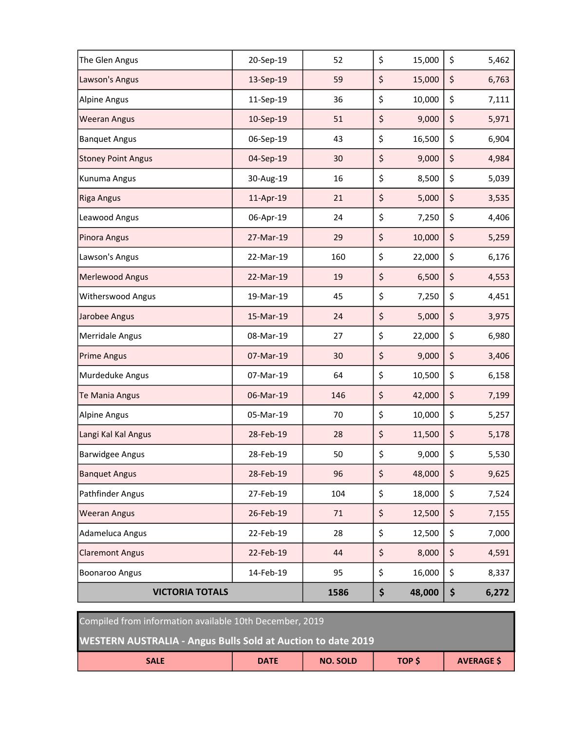| The Glen Angus            | 20-Sep-19 | 52   | \$<br>15,000 | \$<br>5,462 |
|---------------------------|-----------|------|--------------|-------------|
| Lawson's Angus            | 13-Sep-19 | 59   | \$<br>15,000 | \$<br>6,763 |
| <b>Alpine Angus</b>       | 11-Sep-19 | 36   | \$<br>10,000 | \$<br>7,111 |
| <b>Weeran Angus</b>       | 10-Sep-19 | 51   | \$<br>9,000  | \$<br>5,971 |
| <b>Banquet Angus</b>      | 06-Sep-19 | 43   | \$<br>16,500 | \$<br>6,904 |
| <b>Stoney Point Angus</b> | 04-Sep-19 | 30   | \$<br>9,000  | \$<br>4,984 |
| Kunuma Angus              | 30-Aug-19 | 16   | \$<br>8,500  | \$<br>5,039 |
| <b>Riga Angus</b>         | 11-Apr-19 | 21   | \$<br>5,000  | \$<br>3,535 |
| Leawood Angus             | 06-Apr-19 | 24   | \$<br>7,250  | \$<br>4,406 |
| Pinora Angus              | 27-Mar-19 | 29   | \$<br>10,000 | \$<br>5,259 |
| Lawson's Angus            | 22-Mar-19 | 160  | \$<br>22,000 | \$<br>6,176 |
| Merlewood Angus           | 22-Mar-19 | 19   | \$<br>6,500  | \$<br>4,553 |
| Witherswood Angus         | 19-Mar-19 | 45   | \$<br>7,250  | \$<br>4,451 |
| Jarobee Angus             | 15-Mar-19 | 24   | \$<br>5,000  | \$<br>3,975 |
| <b>Merridale Angus</b>    | 08-Mar-19 | 27   | \$<br>22,000 | \$<br>6,980 |
| <b>Prime Angus</b>        | 07-Mar-19 | 30   | \$<br>9,000  | \$<br>3,406 |
| Murdeduke Angus           | 07-Mar-19 | 64   | \$<br>10,500 | \$<br>6,158 |
| Te Mania Angus            | 06-Mar-19 | 146  | \$<br>42,000 | \$<br>7,199 |
| <b>Alpine Angus</b>       | 05-Mar-19 | 70   | \$<br>10,000 | \$<br>5,257 |
| Langi Kal Kal Angus       | 28-Feb-19 | 28   | \$<br>11,500 | \$<br>5,178 |
| <b>Barwidgee Angus</b>    | 28-Feb-19 | 50   | \$<br>9,000  | \$<br>5,530 |
| <b>Banquet Angus</b>      | 28-Feb-19 | 96   | \$<br>48,000 | \$<br>9,625 |
| Pathfinder Angus          | 27-Feb-19 | 104  | \$<br>18,000 | \$<br>7,524 |
| <b>Weeran Angus</b>       | 26-Feb-19 | 71   | \$<br>12,500 | \$<br>7,155 |
| Adameluca Angus           | 22-Feb-19 | 28   | \$<br>12,500 | \$<br>7,000 |
| <b>Claremont Angus</b>    | 22-Feb-19 | 44   | \$<br>8,000  | \$<br>4,591 |
| <b>Boonaroo Angus</b>     | 14-Feb-19 | 95   | \$<br>16,000 | \$<br>8,337 |
| <b>VICTORIA TOTALS</b>    |           | 1586 | \$<br>48,000 | \$<br>6,272 |

Compiled from information available 10th December, 2019

WESTERN AUSTRALIA - Angus Bulls Sold at Auction to date 2019

| <b>SALE</b> | <b>DATE</b> | <b>NO. SOLD</b> | TOP \$<br>$\sim$ | <b>AVERAGE \$</b> |
|-------------|-------------|-----------------|------------------|-------------------|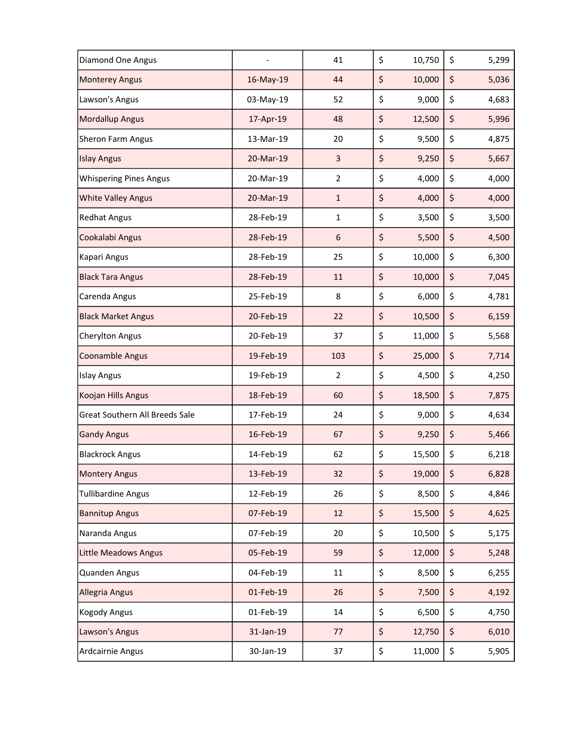| <b>Diamond One Angus</b>       |           | 41             | \$<br>10,750 | \$<br>5,299 |
|--------------------------------|-----------|----------------|--------------|-------------|
| <b>Monterey Angus</b>          | 16-May-19 | 44             | \$<br>10,000 | \$<br>5,036 |
| Lawson's Angus                 | 03-May-19 | 52             | \$<br>9,000  | \$<br>4,683 |
| <b>Mordallup Angus</b>         | 17-Apr-19 | 48             | \$<br>12,500 | \$<br>5,996 |
| Sheron Farm Angus              | 13-Mar-19 | 20             | \$<br>9,500  | \$<br>4,875 |
| <b>Islay Angus</b>             | 20-Mar-19 | 3              | \$<br>9,250  | \$<br>5,667 |
| <b>Whispering Pines Angus</b>  | 20-Mar-19 | $\overline{2}$ | \$<br>4,000  | \$<br>4,000 |
| <b>White Valley Angus</b>      | 20-Mar-19 | $\mathbf{1}$   | \$<br>4,000  | \$<br>4,000 |
| <b>Redhat Angus</b>            | 28-Feb-19 | $\mathbf{1}$   | \$<br>3,500  | \$<br>3,500 |
| Cookalabi Angus                | 28-Feb-19 | 6              | \$<br>5,500  | \$<br>4,500 |
| Kapari Angus                   | 28-Feb-19 | 25             | \$<br>10,000 | \$<br>6,300 |
| <b>Black Tara Angus</b>        | 28-Feb-19 | 11             | \$<br>10,000 | \$<br>7,045 |
| Carenda Angus                  | 25-Feb-19 | 8              | \$<br>6,000  | \$<br>4,781 |
| <b>Black Market Angus</b>      | 20-Feb-19 | 22             | \$<br>10,500 | \$<br>6,159 |
| <b>Cherylton Angus</b>         | 20-Feb-19 | 37             | \$<br>11,000 | \$<br>5,568 |
| <b>Coonamble Angus</b>         | 19-Feb-19 | 103            | \$<br>25,000 | \$<br>7,714 |
| <b>Islay Angus</b>             | 19-Feb-19 | $\overline{2}$ | \$<br>4,500  | \$<br>4,250 |
| Koojan Hills Angus             | 18-Feb-19 | 60             | \$<br>18,500 | \$<br>7,875 |
| Great Southern All Breeds Sale | 17-Feb-19 | 24             | \$<br>9,000  | \$<br>4,634 |
| <b>Gandy Angus</b>             | 16-Feb-19 | 67             | \$<br>9,250  | \$<br>5,466 |
| <b>Blackrock Angus</b>         | 14-Feb-19 | 62             | \$<br>15,500 | \$<br>6,218 |
| <b>Montery Angus</b>           | 13-Feb-19 | 32             | \$<br>19,000 | \$<br>6,828 |
| <b>Tullibardine Angus</b>      | 12-Feb-19 | 26             | \$<br>8,500  | \$<br>4,846 |
| <b>Bannitup Angus</b>          | 07-Feb-19 | 12             | \$<br>15,500 | \$<br>4,625 |
| Naranda Angus                  | 07-Feb-19 | 20             | \$<br>10,500 | \$<br>5,175 |
| <b>Little Meadows Angus</b>    | 05-Feb-19 | 59             | \$<br>12,000 | \$<br>5,248 |
| Quanden Angus                  | 04-Feb-19 | $11\,$         | \$<br>8,500  | \$<br>6,255 |
| Allegria Angus                 | 01-Feb-19 | 26             | \$<br>7,500  | \$<br>4,192 |
| <b>Kogody Angus</b>            | 01-Feb-19 | 14             | \$<br>6,500  | \$<br>4,750 |
| Lawson's Angus                 | 31-Jan-19 | 77             | \$<br>12,750 | \$<br>6,010 |
| Ardcairnie Angus               | 30-Jan-19 | 37             | \$<br>11,000 | \$<br>5,905 |